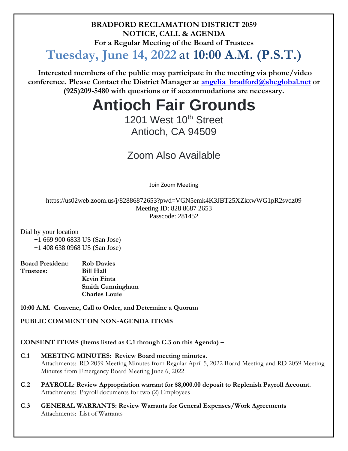**BRADFORD RECLAMATION DISTRICT 2059 NOTICE, CALL & AGENDA For a Regular Meeting of the Board of Trustees**

# **Tuesday, June 14, 2022 at 10:00 A.M. (P.S.T.)**

**Interested members of the public may participate in the meeting via phone/video conference. Please Contact the District Manager at [angelia\\_bradford@sbcglobal.net](mailto:angelia_bradford@sbcglobal.net) or (925)209-5480 with questions or if accommodations are necessary.**

# **Antioch Fair Grounds**

# 1201 West 10<sup>th</sup> Street Antioch, CA 94509

# Zoom Also Available

Join Zoom Meeting

https://us02web.zoom.us/j/82886872653?pwd=VGN5emk4K3JBT25XZkxwWG1pR2svdz09 Meeting ID: 828 8687 2653 Passcode: 281452

Dial by your location

 +1 669 900 6833 US (San Jose) +1 408 638 0968 US (San Jose)

| <b>Board President:</b> | <b>Rob Davies</b>    |
|-------------------------|----------------------|
| Trustees:               | <b>Bill Hall</b>     |
|                         | Kevin Finta          |
|                         | Smith Cunningham     |
|                         | <b>Charles Louie</b> |

**10:00 A.M. Convene, Call to Order, and Determine a Quorum**

# **PUBLIC COMMENT ON NON-AGENDA ITEMS**

# **CONSENT ITEMS (Items listed as C.1 through C.3 on this Agenda) –**

- **C.1 MEETING MINUTES: Review Board meeting minutes.**  Attachments: RD 2059 Meeting Minutes from Regular April 5, 2022 Board Meeting and RD 2059 Meeting Minutes from Emergency Board Meeting June 6, 2022
- **C.2 PAYROLL: Review Appropriation warrant for \$8,000.00 deposit to Replenish Payroll Account.** Attachments: Payroll documents for two (2) Employees
- **C.3 GENERAL WARRANTS: Review Warrants for General Expenses/Work Agreements** Attachments: List of Warrants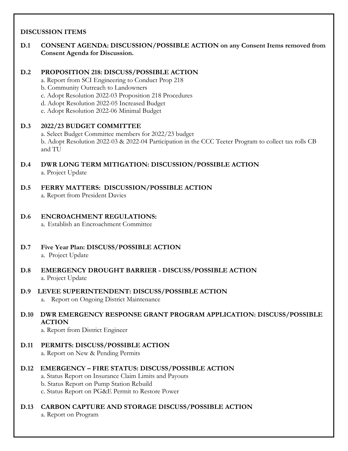# **DISCUSSION ITEMS**

**D.1 CONSENT AGENDA: DISCUSSION/POSSIBLE ACTION on any Consent Items removed from Consent Agenda for Discussion.**

# **D.2 PROPOSITION 218: DISCUSS/POSSIBLE ACTION**

- a. Report from SCI Engineering to Conduct Prop 218
- b. Community Outreach to Landowners
- c. Adopt Resolution 2022-03 Proposition 218 Procedures
- d. Adopt Resolution 2022-05 Increased Budget
- e. Adopt Resolution 2022-06 Minimal Budget

# **D.3 2022/23 BUDGET COMMITTEE**

a. Select Budget Committee members for 2022/23 budget b. Adopt Resolution 2022-03 & 2022-04 Participation in the CCC Teeter Program to collect tax rolls CB and TU

- **D.4 DWR LONG TERM MITIGATION: DISCUSSION/POSSIBLE ACTION**  a. Project Update
- **D.5 FERRY MATTERS: DISCUSSION/POSSIBLE ACTION** a. Report from President Davies

#### **D.6 ENCROACHMENT REGULATIONS:**  a. Establish an Encroachment Committee

- **D.7 Five Year Plan: DISCUSS/POSSIBLE ACTION** a. Project Update
- **D.8 EMERGENCY DROUGHT BARRIER - DISCUSS/POSSIBLE ACTION** a. Project Update
- **D.9 LEVEE SUPERINTENDENT: DISCUSS/POSSIBLE ACTION** a. Report on Ongoing District Maintenance
- **D.10 DWR EMERGENCY RESPONSE GRANT PROGRAM APPLICATION: DISCUSS/POSSIBLE ACTION**

a. Report from District Engineer

- **D.11 PERMITS: DISCUSS/POSSIBLE ACTION** a. Report on New & Pending Permits
- **D.12 EMERGENCY – FIRE STATUS: DISCUSS/POSSIBLE ACTION**
	- a. Status Report on Insurance Claim Limits and Payouts
	- b. Status Report on Pump Station Rebuild
	- c. Status Report on PG&E Permit to Restore Power

## **D.13 CARBON CAPTURE AND STORAGE DISCUSS/POSSIBLE ACTION**

a. Report on Program